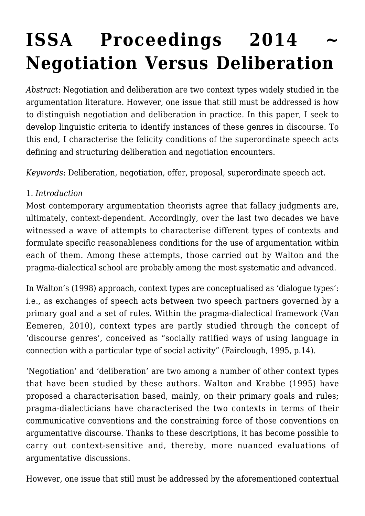# ISSA Proceedings 2014 **[Negotiation Versus Deliberation](https://rozenbergquarterly.com/xissa-proceedings-2014-negotiation-versus-deliberation/)**

*Abstract*: Negotiation and deliberation are two context types widely studied in the argumentation literature. However, one issue that still must be addressed is how to distinguish negotiation and deliberation in practice. In this paper, I seek to develop linguistic criteria to identify instances of these genres in discourse. To this end, I characterise the felicity conditions of the superordinate speech acts defining and structuring deliberation and negotiation encounters.

*Keywords*: Deliberation, negotiation, offer, proposal, superordinate speech act.

# 1. *Introduction*

Most contemporary argumentation theorists agree that fallacy judgments are, ultimately, context-dependent. Accordingly, over the last two decades we have witnessed a wave of attempts to characterise different types of contexts and formulate specific reasonableness conditions for the use of argumentation within each of them. Among these attempts, those carried out by Walton and the pragma-dialectical school are probably among the most systematic and advanced.

In Walton's (1998) approach, context types are conceptualised as 'dialogue types': i.e., as exchanges of speech acts between two speech partners governed by a primary goal and a set of rules. Within the pragma-dialectical framework (Van Eemeren, 2010), context types are partly studied through the concept of 'discourse genres', conceived as "socially ratified ways of using language in connection with a particular type of social activity" (Fairclough, 1995, p.14).

'Negotiation' and 'deliberation' are two among a number of other context types that have been studied by these authors. Walton and Krabbe (1995) have proposed a characterisation based, mainly, on their primary goals and rules; pragma-dialecticians have characterised the two contexts in terms of their communicative conventions and the constraining force of those conventions on argumentative discourse. Thanks to these descriptions, it has become possible to carry out context-sensitive and, thereby, more nuanced evaluations of argumentative discussions.

However, one issue that still must be addressed by the aforementioned contextual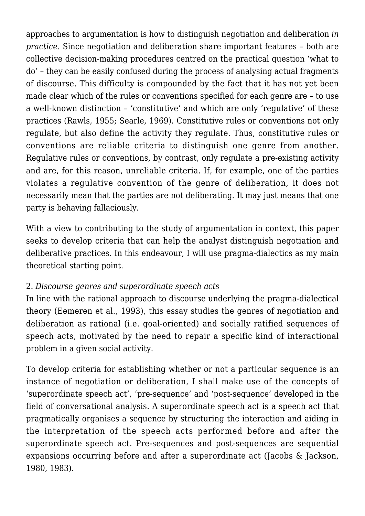approaches to argumentation is how to distinguish negotiation and deliberation *in practice.* Since negotiation and deliberation share important features – both are collective decision-making procedures centred on the practical question 'what to do' – they can be easily confused during the process of analysing actual fragments of discourse. This difficulty is compounded by the fact that it has not yet been made clear which of the rules or conventions specified for each genre are – to use a well-known distinction – 'constitutive' and which are only 'regulative' of these practices (Rawls, 1955; Searle, 1969). Constitutive rules or conventions not only regulate, but also define the activity they regulate. Thus, constitutive rules or conventions are reliable criteria to distinguish one genre from another. Regulative rules or conventions, by contrast, only regulate a pre-existing activity and are, for this reason, unreliable criteria. If, for example, one of the parties violates a regulative convention of the genre of deliberation, it does not necessarily mean that the parties are not deliberating. It may just means that one party is behaving fallaciously.

With a view to contributing to the study of argumentation in context, this paper seeks to develop criteria that can help the analyst distinguish negotiation and deliberative practices. In this endeavour, I will use pragma-dialectics as my main theoretical starting point.

# 2. *Discourse genres and superordinate speech acts*

In line with the rational approach to discourse underlying the pragma-dialectical theory (Eemeren et al., 1993), this essay studies the genres of negotiation and deliberation as rational (i.e. goal-oriented) and socially ratified sequences of speech acts, motivated by the need to repair a specific kind of interactional problem in a given social activity.

To develop criteria for establishing whether or not a particular sequence is an instance of negotiation or deliberation, I shall make use of the concepts of 'superordinate speech act', 'pre-sequence' and 'post-sequence' developed in the field of conversational analysis. A superordinate speech act is a speech act that pragmatically organises a sequence by structuring the interaction and aiding in the interpretation of the speech acts performed before and after the superordinate speech act. Pre-sequences and post-sequences are sequential expansions occurring before and after a superordinate act (Jacobs & Jackson, 1980, 1983).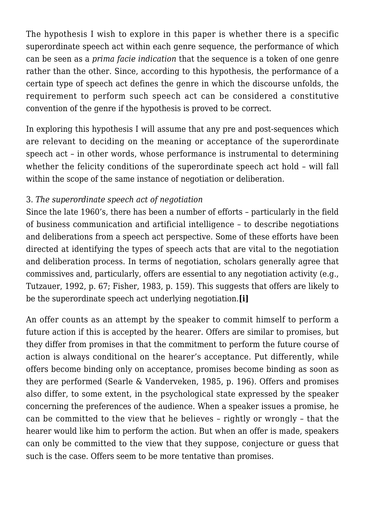The hypothesis I wish to explore in this paper is whether there is a specific superordinate speech act within each genre sequence, the performance of which can be seen as a *prima facie indication* that the sequence is a token of one genre rather than the other. Since, according to this hypothesis, the performance of a certain type of speech act defines the genre in which the discourse unfolds, the requirement to perform such speech act can be considered a constitutive convention of the genre if the hypothesis is proved to be correct.

In exploring this hypothesis I will assume that any pre and post-sequences which are relevant to deciding on the meaning or acceptance of the superordinate speech act – in other words, whose performance is instrumental to determining whether the felicity conditions of the superordinate speech act hold – will fall within the scope of the same instance of negotiation or deliberation.

# 3. *The superordinate speech act of negotiation*

Since the late 1960's, there has been a number of efforts – particularly in the field of business communication and artificial intelligence – to describe negotiations and deliberations from a speech act perspective. Some of these efforts have been directed at identifying the types of speech acts that are vital to the negotiation and deliberation process. In terms of negotiation, scholars generally agree that commissives and, particularly, offers are essential to any negotiation activity (e.g., Tutzauer, 1992, p. 67; Fisher, 1983, p. 159). This suggests that offers are likely to be the superordinate speech act underlying negotiation.**[i]**

An offer counts as an attempt by the speaker to commit himself to perform a future action if this is accepted by the hearer. Offers are similar to promises, but they differ from promises in that the commitment to perform the future course of action is always conditional on the hearer's acceptance. Put differently, while offers become binding only on acceptance, promises become binding as soon as they are performed (Searle & Vanderveken, 1985, p. 196). Offers and promises also differ, to some extent, in the psychological state expressed by the speaker concerning the preferences of the audience. When a speaker issues a promise, he can be committed to the view that he believes – rightly or wrongly – that the hearer would like him to perform the action. But when an offer is made, speakers can only be committed to the view that they suppose, conjecture or guess that such is the case. Offers seem to be more tentative than promises.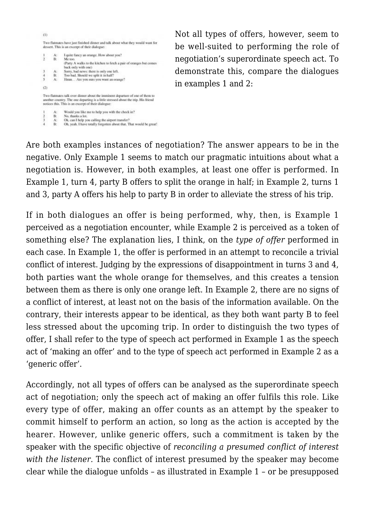| (1)           |       |                                                                                                                                                                                                                            |
|---------------|-------|----------------------------------------------------------------------------------------------------------------------------------------------------------------------------------------------------------------------------|
|               |       | Two flatmates have just finished dinner and talk about what they would want for<br>dessert. This is an excerpt of their dialogue:                                                                                          |
| 1             | -A:   | I quite fancy an orange. How about you?                                                                                                                                                                                    |
| ò.            | $B$ : | Me too.                                                                                                                                                                                                                    |
|               |       | (Party A walks to the kitchen to fetch a pair of oranges but comes<br>back only with one)                                                                                                                                  |
|               | A÷.   | Sorry, bad news: there is only one left.                                                                                                                                                                                   |
| 345           | B:    | Too bad. Should we split it in half?                                                                                                                                                                                       |
|               | A.    | Hmm Are you sure you want an orange?                                                                                                                                                                                       |
| (2)           |       |                                                                                                                                                                                                                            |
|               |       | Two flatmates talk over dinner about the imminent departure of one of them to<br>another country. The one departing is a little stressed about the trip. His friend<br>notices this. This is an excerpt of their dialogue: |
|               | A:    | Would you like me to help you with the check in?                                                                                                                                                                           |
| $\frac{1}{4}$ | B:    | No, thanks a lot.                                                                                                                                                                                                          |
|               | -A:   | Ok, can I help you calling the airport transfer?                                                                                                                                                                           |
|               | B:    | Oh, yeah. I have totally forgotten about that. That would be great!                                                                                                                                                        |

Not all types of offers, however, seem to be well-suited to performing the role of negotiation's superordinate speech act. To demonstrate this, compare the dialogues in examples 1 and 2:

Are both examples instances of negotiation? The answer appears to be in the negative. Only Example 1 seems to match our pragmatic intuitions about what a negotiation is. However, in both examples, at least one offer is performed. In Example 1, turn 4, party B offers to split the orange in half; in Example 2, turns 1 and 3, party A offers his help to party B in order to alleviate the stress of his trip.

If in both dialogues an offer is being performed, why, then, is Example 1 perceived as a negotiation encounter, while Example 2 is perceived as a token of something else? The explanation lies, I think, on the *type of offer* performed in each case. In Example 1, the offer is performed in an attempt to reconcile a trivial conflict of interest. Judging by the expressions of disappointment in turns 3 and 4, both parties want the whole orange for themselves, and this creates a tension between them as there is only one orange left. In Example 2, there are no signs of a conflict of interest, at least not on the basis of the information available. On the contrary, their interests appear to be identical, as they both want party B to feel less stressed about the upcoming trip. In order to distinguish the two types of offer, I shall refer to the type of speech act performed in Example 1 as the speech act of 'making an offer' and to the type of speech act performed in Example 2 as a 'generic offer'.

Accordingly, not all types of offers can be analysed as the superordinate speech act of negotiation; only the speech act of making an offer fulfils this role. Like every type of offer, making an offer counts as an attempt by the speaker to commit himself to perform an action, so long as the action is accepted by the hearer. However, unlike generic offers, such a commitment is taken by the speaker with the specific objective of *reconciling a presumed conflict of interest with the listener.* The conflict of interest presumed by the speaker may become clear while the dialogue unfolds – as illustrated in Example 1 – or be presupposed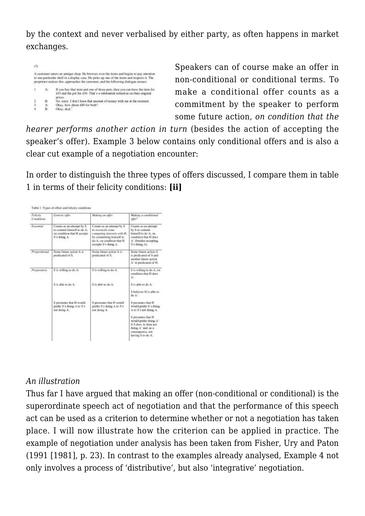by the context and never verbalised by either party, as often happens in market exchanges.



Speakers can of course make an offer in non-conditional or conditional terms. To make a conditional offer counts as a commitment by the speaker to perform some future action, *on condition that the*

*hearer performs another action in turn* (besides the action of accepting the speaker's offer). Example 3 below contains only conditional offers and is also a clear cut example of a negotiation encounter:

In order to distinguish the three types of offers discussed, I compare them in table 1 in terms of their felicity conditions: **[ii]**

| Felicity<br>Conditions | Generic offer                                                                                           | Making an offer                                                                                                                                                   | Making a conditional<br>offer <sup>4</sup>                                                                                                                                                                  |
|------------------------|---------------------------------------------------------------------------------------------------------|-------------------------------------------------------------------------------------------------------------------------------------------------------------------|-------------------------------------------------------------------------------------------------------------------------------------------------------------------------------------------------------------|
| Expertist              | Counts as an attempt by S.<br>to commit himself to do A.<br>on condition that H accepts<br>S's doing A. | Counts as an attempt by S<br>to recoverile sover<br>competing interests with H.<br>by committing himself to<br>do A, on condition that H.<br>accepts S's doing A. | Counts as an attempt<br>by S to commit<br>himself to do A, on<br>condition that H does.<br>A' (besides accepting<br>S's doing A).                                                                           |
| Propositional          | Some future action A is<br>prodicated of S.                                                             | Some future action A is<br>predicated of S.                                                                                                                       | Some future action A<br>is predicated of S and<br>another future action.<br>A' is predicated of H.                                                                                                          |
| Preparatory            | S is willing to do A.                                                                                   | S is willing to do A.                                                                                                                                             | S is willing to do A, on<br>condition that H does.<br>A"                                                                                                                                                    |
|                        | S is able to do A.                                                                                      | S is able to do A.                                                                                                                                                | S is able to do A.<br>S believes H is able to<br>$d\alpha A'$ .                                                                                                                                             |
|                        | S presencs that H would<br>prefer S's doing A to S's<br>not doing A.                                    | S presumes that H would<br>prefer S's doing A to S's<br>not doing A.                                                                                              | S presumes that H<br>would prefer S's doing.<br>A to S's not doing A.<br>S presumes that H<br>would prefer doing A'<br>if S does A, than not<br>doing A' and, as a<br>consequence, not<br>having S to do A. |

# *An illustration*

Thus far I have argued that making an offer (non-conditional or conditional) is the superordinate speech act of negotiation and that the performance of this speech act can be used as a criterion to determine whether or not a negotiation has taken place. I will now illustrate how the criterion can be applied in practice. The example of negotiation under analysis has been taken from Fisher, Ury and Paton (1991 [1981], p. 23). In contrast to the examples already analysed, Example 4 not only involves a process of 'distributive', but also 'integrative' negotiation.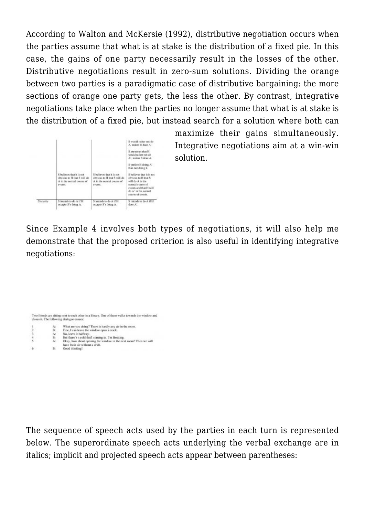According to Walton and McKersie (1992), distributive negotiation occurs when the parties assume that what is at stake is the distribution of a fixed pie. In this case, the gains of one party necessarily result in the losses of the other. Distributive negotiations result in zero-sum solutions. Dividing the orange between two parties is a paradigmatic case of distributive bargaining: the more sections of orange one party gets, the less the other. By contrast, integrative negotiations take place when the parties no longer assume that what is at stake is the distribution of a fixed pie, but instead search for a solution where both can



maximize their gains simultaneously. Integrative negotiations aim at a win-win solution.

Since Example 4 involves both types of negotiations, it will also help me demonstrate that the proposed criterion is also useful in identifying integrative negotiations:

Two friends are sitting next to each other in a library. One of them walks towards the window and closes it. The following dialogue ensues What are you doing? There is hardly any air in the room.<br>Fine, I can knee the window open a crack.<br>No, leave it balfway.<br>But there's a cold deafl coming in. I'm freezing.<br>Okay, how about opening the window in the next roo  $\frac{\lambda}{B}$  $\frac{4}{5}$  $A$ : k  $\dot{\mathbf{n}}$ Good thinking!

The sequence of speech acts used by the parties in each turn is represented below. The superordinate speech acts underlying the verbal exchange are in italics; implicit and projected speech acts appear between parentheses: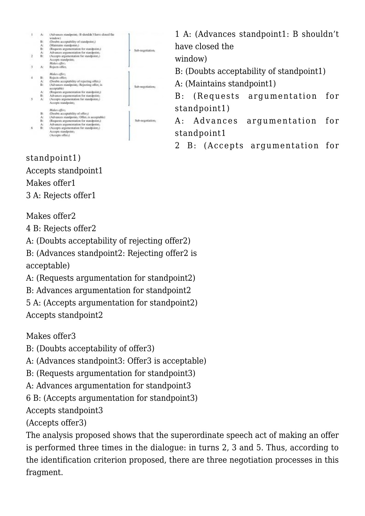

1 A: (Advances standpoint1: B shouldn't have closed the

window)

B: (Doubts acceptability of standpoint1)

A: (Maintains standpoint1)

B: (Requests argumentation for standpoint1)

A: Advances argumentation for standpoint1

2 B: (Accepts argumentation for

standpoint1) Accepts standpoint1 Makes offer1 3 A: Rejects offer1

Makes offer2

4 B: Rejects offer2

A: (Doubts acceptability of rejecting offer2)

B: (Advances standpoint2: Rejecting offer2 is acceptable)

A: (Requests argumentation for standpoint2)

B: Advances argumentation for standpoint2

5 A: (Accepts argumentation for standpoint2) Accepts standpoint2

Makes offer3

B: (Doubts acceptability of offer3)

A: (Advances standpoint3: Offer3 is acceptable)

B: (Requests argumentation for standpoint3)

A: Advances argumentation for standpoint3

6 B: (Accepts argumentation for standpoint3)

Accepts standpoint3

(Accepts offer3)

The analysis proposed shows that the superordinate speech act of making an offer is performed three times in the dialogue: in turns 2, 3 and 5. Thus, according to the identification criterion proposed, there are three negotiation processes in this fragment.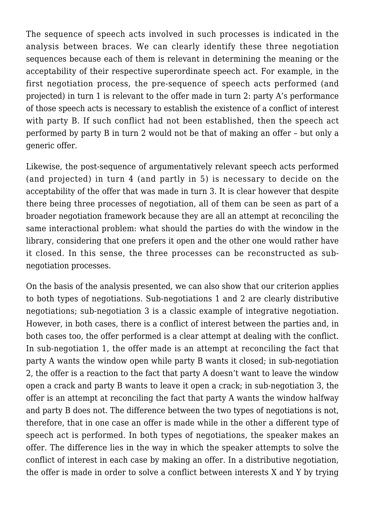The sequence of speech acts involved in such processes is indicated in the analysis between braces. We can clearly identify these three negotiation sequences because each of them is relevant in determining the meaning or the acceptability of their respective superordinate speech act. For example, in the first negotiation process, the pre-sequence of speech acts performed (and projected) in turn 1 is relevant to the offer made in turn 2: party A's performance of those speech acts is necessary to establish the existence of a conflict of interest with party B. If such conflict had not been established, then the speech act performed by party B in turn 2 would not be that of making an offer – but only a generic offer.

Likewise, the post-sequence of argumentatively relevant speech acts performed (and projected) in turn 4 (and partly in 5) is necessary to decide on the acceptability of the offer that was made in turn 3. It is clear however that despite there being three processes of negotiation, all of them can be seen as part of a broader negotiation framework because they are all an attempt at reconciling the same interactional problem: what should the parties do with the window in the library, considering that one prefers it open and the other one would rather have it closed. In this sense, the three processes can be reconstructed as subnegotiation processes.

On the basis of the analysis presented, we can also show that our criterion applies to both types of negotiations. Sub-negotiations 1 and 2 are clearly distributive negotiations; sub-negotiation 3 is a classic example of integrative negotiation. However, in both cases, there is a conflict of interest between the parties and, in both cases too, the offer performed is a clear attempt at dealing with the conflict. In sub-negotiation 1, the offer made is an attempt at reconciling the fact that party A wants the window open while party B wants it closed; in sub-negotiation 2, the offer is a reaction to the fact that party A doesn't want to leave the window open a crack and party B wants to leave it open a crack; in sub-negotiation 3, the offer is an attempt at reconciling the fact that party A wants the window halfway and party B does not. The difference between the two types of negotiations is not, therefore, that in one case an offer is made while in the other a different type of speech act is performed. In both types of negotiations, the speaker makes an offer. The difference lies in the way in which the speaker attempts to solve the conflict of interest in each case by making an offer. In a distributive negotiation, the offer is made in order to solve a conflict between interests X and Y by trying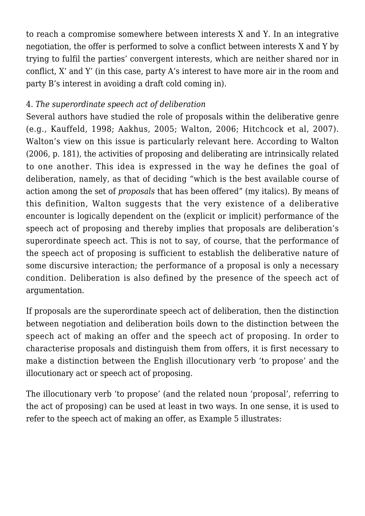to reach a compromise somewhere between interests X and Y. In an integrative negotiation, the offer is performed to solve a conflict between interests X and Y by trying to fulfil the parties' convergent interests, which are neither shared nor in conflict, X' and Y' (in this case, party A's interest to have more air in the room and party B's interest in avoiding a draft cold coming in).

# 4. *The superordinate speech act of deliberation*

Several authors have studied the role of proposals within the deliberative genre (e.g., Kauffeld, 1998; Aakhus, 2005; Walton, 2006; Hitchcock et al, 2007). Walton's view on this issue is particularly relevant here. According to Walton (2006, p. 181), the activities of proposing and deliberating are intrinsically related to one another. This idea is expressed in the way he defines the goal of deliberation, namely, as that of deciding "which is the best available course of action among the set of *proposals* that has been offered" (my italics). By means of this definition, Walton suggests that the very existence of a deliberative encounter is logically dependent on the (explicit or implicit) performance of the speech act of proposing and thereby implies that proposals are deliberation's superordinate speech act. This is not to say, of course, that the performance of the speech act of proposing is sufficient to establish the deliberative nature of some discursive interaction; the performance of a proposal is only a necessary condition. Deliberation is also defined by the presence of the speech act of argumentation.

If proposals are the superordinate speech act of deliberation, then the distinction between negotiation and deliberation boils down to the distinction between the speech act of making an offer and the speech act of proposing. In order to characterise proposals and distinguish them from offers, it is first necessary to make a distinction between the English illocutionary verb 'to propose' and the illocutionary act or speech act of proposing.

The illocutionary verb 'to propose' (and the related noun 'proposal', referring to the act of proposing) can be used at least in two ways. In one sense, it is used to refer to the speech act of making an offer, as Example 5 illustrates: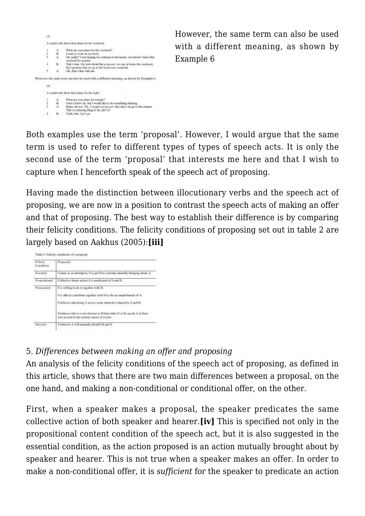

However, the same term can also be used with a different meaning, as shown by Example 6

Both examples use the term 'proposal'. However, I would argue that the same term is used to refer to different types of types of speech acts. It is only the second use of the term 'proposal' that interests me here and that I wish to capture when I henceforth speak of the speech act of proposing.

Having made the distinction between illocutionary verbs and the speech act of proposing, we are now in a position to contrast the speech acts of making an offer and that of proposing. The best way to establish their difference is by comparing their felicity conditions. The felicity conditions of proposing set out in table 2 are largely based on Aakhus (2005):**[iii]**

| Felicity<br>Conditions | Proposale                                                                                                                                                                                                                                                                                                       |
|------------------------|-----------------------------------------------------------------------------------------------------------------------------------------------------------------------------------------------------------------------------------------------------------------------------------------------------------------|
| External               | Counts as an attempt by S to get H to consider matually bringing about A.                                                                                                                                                                                                                                       |
| Propositional          | Collective future action A is predicated of S and H.                                                                                                                                                                                                                                                            |
| Preparatory            | S is willing to do A together with H.<br>S is able to contribute together with H to the accomplishment of A.<br>S believes that doing A serves some interestis) shared by S and H.<br>S believes that it is not obvious to H that either S or H can do A of their<br>own accord in the normal course of events. |
| Sincerity              | S believes A will mutually benefit H and S.                                                                                                                                                                                                                                                                     |
|                        |                                                                                                                                                                                                                                                                                                                 |

# 5. *Differences between making an offer and proposing*

An analysis of the felicity conditions of the speech act of proposing, as defined in this article, shows that there are two main differences between a proposal, on the one hand, and making a non-conditional or conditional offer, on the other.

First, when a speaker makes a proposal, the speaker predicates the same collective action of both speaker and hearer.**[iv]** This is specified not only in the propositional content condition of the speech act, but it is also suggested in the essential condition, as the action proposed is an action mutually brought about by speaker and hearer. This is not true when a speaker makes an offer. In order to make a non-conditional offer, it is *sufficient* for the speaker to predicate an action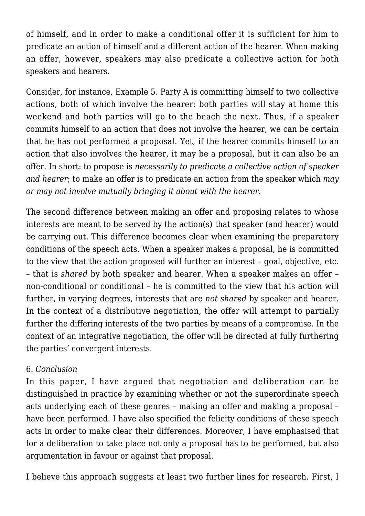of himself, and in order to make a conditional offer it is sufficient for him to predicate an action of himself and a different action of the hearer. When making an offer, however, speakers may also predicate a collective action for both speakers and hearers.

Consider, for instance, Example 5. Party A is committing himself to two collective actions, both of which involve the hearer: both parties will stay at home this weekend and both parties will go to the beach the next. Thus, if a speaker commits himself to an action that does not involve the hearer, we can be certain that he has not performed a proposal. Yet, if the hearer commits himself to an action that also involves the hearer, it may be a proposal, but it can also be an offer. In short: to propose is *necessarily to predicate a collective action of speaker and hearer*; to make an offer is to predicate an action from the speaker which *may or may not involve mutually bringing it about with the hearer.*

The second difference between making an offer and proposing relates to whose interests are meant to be served by the action(s) that speaker (and hearer) would be carrying out. This difference becomes clear when examining the preparatory conditions of the speech acts. When a speaker makes a proposal, he is committed to the view that the action proposed will further an interest – goal, objective, etc. – that is *shared* by both speaker and hearer. When a speaker makes an offer – non-conditional or conditional – he is committed to the view that his action will further, in varying degrees, interests that are *not shared* by speaker and hearer. In the context of a distributive negotiation, the offer will attempt to partially further the differing interests of the two parties by means of a compromise. In the context of an integrative negotiation, the offer will be directed at fully furthering the parties' convergent interests.

#### 6. *Conclusion*

In this paper, I have argued that negotiation and deliberation can be distinguished in practice by examining whether or not the superordinate speech acts underlying each of these genres – making an offer and making a proposal – have been performed. I have also specified the felicity conditions of these speech acts in order to make clear their differences. Moreover, I have emphasised that for a deliberation to take place not only a proposal has to be performed, but also argumentation in favour or against that proposal.

I believe this approach suggests at least two further lines for research. First, I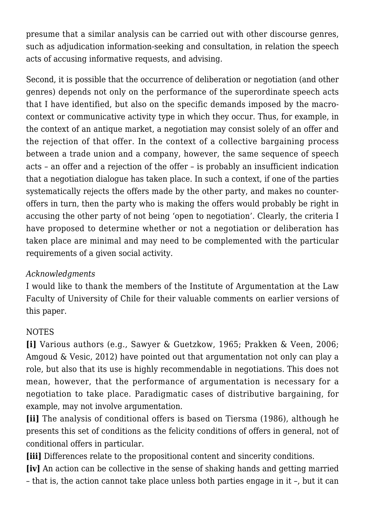presume that a similar analysis can be carried out with other discourse genres, such as adjudication information-seeking and consultation, in relation the speech acts of accusing informative requests, and advising.

Second, it is possible that the occurrence of deliberation or negotiation (and other genres) depends not only on the performance of the superordinate speech acts that I have identified, but also on the specific demands imposed by the macrocontext or communicative activity type in which they occur. Thus, for example, in the context of an antique market, a negotiation may consist solely of an offer and the rejection of that offer. In the context of a collective bargaining process between a trade union and a company, however, the same sequence of speech acts – an offer and a rejection of the offer – is probably an insufficient indication that a negotiation dialogue has taken place. In such a context, if one of the parties systematically rejects the offers made by the other party, and makes no counteroffers in turn, then the party who is making the offers would probably be right in accusing the other party of not being 'open to negotiation'. Clearly, the criteria I have proposed to determine whether or not a negotiation or deliberation has taken place are minimal and may need to be complemented with the particular requirements of a given social activity.

# *Acknowledgments*

I would like to thank the members of the Institute of Argumentation at the Law Faculty of University of Chile for their valuable comments on earlier versions of this paper.

# NOTES

**[i]** Various authors (e.g., Sawyer & Guetzkow, 1965; Prakken & Veen, 2006; Amgoud & Vesic, 2012) have pointed out that argumentation not only can play a role, but also that its use is highly recommendable in negotiations. This does not mean, however, that the performance of argumentation is necessary for a negotiation to take place. Paradigmatic cases of distributive bargaining, for example, may not involve argumentation.

**[ii]** The analysis of conditional offers is based on Tiersma (1986), although he presents this set of conditions as the felicity conditions of offers in general, not of conditional offers in particular.

**[iii]** Differences relate to the propositional content and sincerity conditions.

**[iv]** An action can be collective in the sense of shaking hands and getting married – that is, the action cannot take place unless both parties engage in it –, but it can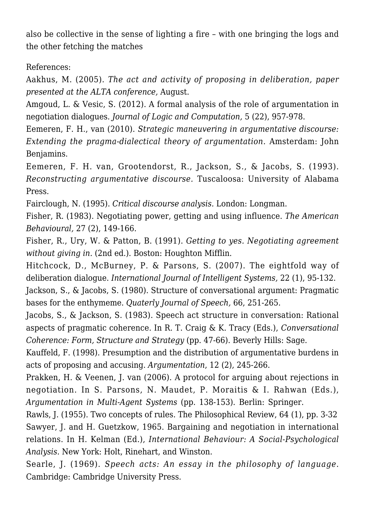also be collective in the sense of lighting a fire – with one bringing the logs and the other fetching the matches

References:

Aakhus, M. (2005). *The act and activity of proposing in deliberation, paper presented at the ALTA conference,* August.

Amgoud, L. & Vesic, S. (2012). A formal analysis of the role of argumentation in negotiation dialogues. *Journal of Logic and Computation,* 5 (22), 957-978.

Eemeren, F. H., van (2010). *Strategic maneuvering in argumentative discourse: Extending the pragma-dialectical theory of argumentation.* Amsterdam: John Benjamins.

Eemeren, F. H. van, Grootendorst, R., Jackson, S., & Jacobs, S. (1993). *Reconstructing argumentative discourse.* Tuscaloosa: University of Alabama Press.

Fairclough, N. (1995). *Critical discourse analysis.* London: Longman.

Fisher, R. (1983). Negotiating power, getting and using influence. *The American Behavioural,* 27 (2), 149-166.

Fisher, R., Ury, W. & Patton, B. (1991). *Getting to yes. Negotiating agreement without giving in.* (2nd ed.). Boston: Houghton Mifflin.

Hitchcock, D., McBurney, P. & Parsons, S. (2007). The eightfold way of deliberation dialogue. *International Journal of Intelligent Systems,* 22 (1), 95-132.

Jackson, S., & Jacobs, S. (1980). Structure of conversational argument: Pragmatic bases for the enthymeme. *Quaterly Journal of Speech,* 66, 251-265.

Jacobs, S., & Jackson, S. (1983). Speech act structure in conversation: Rational aspects of pragmatic coherence. In R. T. Craig & K. Tracy (Eds.), *Conversational Coherence: Form, Structure and Strategy* (pp. 47-66). Beverly Hills: Sage.

Kauffeld, F. (1998). Presumption and the distribution of argumentative burdens in acts of proposing and accusing. *Argumentation*, 12 (2), 245-266.

Prakken, H. & Veenen, J. van (2006). A protocol for arguing about rejections in negotiation. In S. Parsons, N. Maudet, P. Moraitis & I. Rahwan (Eds.), *Argumentation in Multi-Agent Systems* (pp. 138-153). Berlin: Springer.

Rawls, J. (1955). Two concepts of rules. The Philosophical Review, 64 (1), pp. 3-32 Sawyer, J. and H. Guetzkow, 1965. Bargaining and negotiation in international relations. In H. Kelman (Ed.), *International Behaviour: A Social-Psychological Analysis.* New York: Holt, Rinehart, and Winston.

Searle, J. (1969). *Speech acts: An essay in the philosophy of language*. Cambridge: Cambridge University Press.